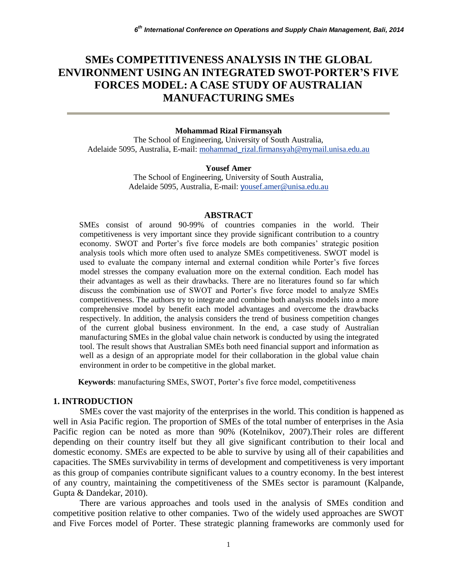# **SMEs COMPETITIVENESS ANALYSIS IN THE GLOBAL ENVIRONMENT USING AN INTEGRATED SWOT-PORTER'S FIVE FORCES MODEL: A CASE STUDY OF AUSTRALIAN MANUFACTURING SMEs**

#### **Mohammad Rizal Firmansyah**

The School of Engineering, University of South Australia, Adelaide 5095, Australia, E-mail: [mohammad\\_rizal.firmansyah@mymail.unisa.edu.au](mailto:mohammad_rizal.firmansyah@mymail.unisa.edu.au) 

#### **Yousef Amer**

The School of Engineering, University of South Australia, Adelaide 5095, Australia, E-mail: y[ousef.amer@unisa.edu.au](mailto:yousef.amer@unisa.edu.au)

#### **ABSTRACT**

SMEs consist of around 90-99% of countries companies in the world. Their competitiveness is very important since they provide significant contribution to a country economy. SWOT and Porter's five force models are both companies' strategic position analysis tools which more often used to analyze SMEs competitiveness. SWOT model is used to evaluate the company internal and external condition while Porter's five forces model stresses the company evaluation more on the external condition. Each model has their advantages as well as their drawbacks. There are no literatures found so far which discuss the combination use of SWOT and Porter's five force model to analyze SMEs competitiveness. The authors try to integrate and combine both analysis models into a more comprehensive model by benefit each model advantages and overcome the drawbacks respectively. In addition, the analysis considers the trend of business competition changes of the current global business environment. In the end, a case study of Australian manufacturing SMEs in the global value chain network is conducted by using the integrated tool. The result shows that Australian SMEs both need financial support and information as well as a design of an appropriate model for their collaboration in the global value chain environment in order to be competitive in the global market.

**Keywords**: manufacturing SMEs, SWOT, Porter's five force model, competitiveness

#### **1. INTRODUCTION**

SMEs cover the vast majority of the enterprises in the world. This condition is happened as well in Asia Pacific region. The proportion of SMEs of the total number of enterprises in the Asia Pacific region can be noted as more than 90% (Kotelnikov, 2007).Their roles are different depending on their country itself but they all give significant contribution to their local and domestic economy. SMEs are expected to be able to survive by using all of their capabilities and capacities. The SMEs survivability in terms of development and competitiveness is very important as this group of companies contribute significant values to a country economy. In the best interest of any country, maintaining the competitiveness of the SMEs sector is paramount (Kalpande, Gupta & Dandekar, 2010).

There are various approaches and tools used in the analysis of SMEs condition and competitive position relative to other companies. Two of the widely used approaches are SWOT and Five Forces model of Porter. These strategic planning frameworks are commonly used for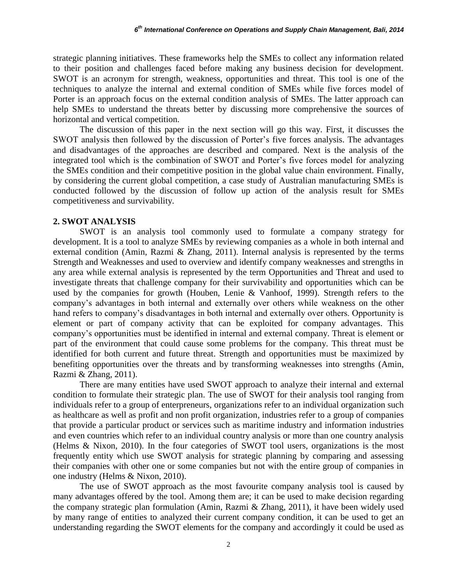strategic planning initiatives. These frameworks help the SMEs to collect any information related to their position and challenges faced before making any business decision for development. SWOT is an acronym for strength, weakness, opportunities and threat. This tool is one of the techniques to analyze the internal and external condition of SMEs while five forces model of Porter is an approach focus on the external condition analysis of SMEs. The latter approach can help SMEs to understand the threats better by discussing more comprehensive the sources of horizontal and vertical competition.

The discussion of this paper in the next section will go this way. First, it discusses the SWOT analysis then followed by the discussion of Porter's five forces analysis. The advantages and disadvantages of the approaches are described and compared. Next is the analysis of the integrated tool which is the combination of SWOT and Porter's five forces model for analyzing the SMEs condition and their competitive position in the global value chain environment. Finally, by considering the current global competition, a case study of Australian manufacturing SMEs is conducted followed by the discussion of follow up action of the analysis result for SMEs competitiveness and survivability.

#### **2. SWOT ANALYSIS**

SWOT is an analysis tool commonly used to formulate a company strategy for development. It is a tool to analyze SMEs by reviewing companies as a whole in both internal and external condition (Amin, Razmi & Zhang, 2011). Internal analysis is represented by the terms Strength and Weaknesses and used to overview and identify company weaknesses and strengths in any area while external analysis is represented by the term Opportunities and Threat and used to investigate threats that challenge company for their survivability and opportunities which can be used by the companies for growth (Houben, Lenie & Vanhoof, 1999). Strength refers to the company's advantages in both internal and externally over others while weakness on the other hand refers to company's disadvantages in both internal and externally over others. Opportunity is element or part of company activity that can be exploited for company advantages. This company's opportunities must be identified in internal and external company. Threat is element or part of the environment that could cause some problems for the company. This threat must be identified for both current and future threat. Strength and opportunities must be maximized by benefiting opportunities over the threats and by transforming weaknesses into strengths (Amin, Razmi & Zhang, 2011).

There are many entities have used SWOT approach to analyze their internal and external condition to formulate their strategic plan. The use of SWOT for their analysis tool ranging from individuals refer to a group of enterpreneurs, organizations refer to an individual organization such as healthcare as well as profit and non profit organization, industries refer to a group of companies that provide a particular product or services such as maritime industry and information industries and even countries which refer to an individual country analysis or more than one country analysis (Helms & Nixon, 2010). In the four categories of SWOT tool users, organizations is the most frequently entity which use SWOT analysis for strategic planning by comparing and assessing their companies with other one or some companies but not with the entire group of companies in one industry (Helms & Nixon, 2010).

The use of SWOT approach as the most favourite company analysis tool is caused by many advantages offered by the tool. Among them are; it can be used to make decision regarding the company strategic plan formulation (Amin, Razmi & Zhang, 2011), it have been widely used by many range of entities to analyzed their current company condition, it can be used to get an understanding regarding the SWOT elements for the company and accordingly it could be used as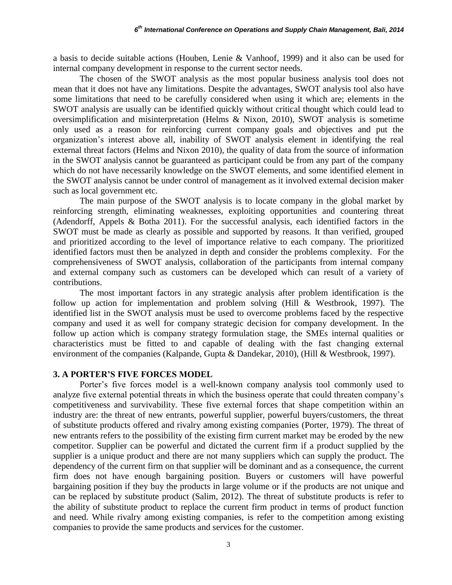a basis to decide suitable actions (Houben, Lenie & Vanhoof, 1999) and it also can be used for internal company development in response to the current sector needs.

The chosen of the SWOT analysis as the most popular business analysis tool does not mean that it does not have any limitations. Despite the advantages, SWOT analysis tool also have some limitations that need to be carefully considered when using it which are; elements in the SWOT analysis are usually can be identified quickly without critical thought which could lead to oversimplification and misinterpretation (Helms & Nixon, 2010), SWOT analysis is sometime only used as a reason for reinforcing current company goals and objectives and put the organization's interest above all, inability of SWOT analysis element in identifying the real external threat factors (Helms and Nixon 2010), the quality of data from the source of information in the SWOT analysis cannot be guaranteed as participant could be from any part of the company which do not have necessarily knowledge on the SWOT elements, and some identified element in the SWOT analysis cannot be under control of management as it involved external decision maker such as local government etc.

The main purpose of the SWOT analysis is to locate company in the global market by reinforcing strength, eliminating weaknesses, exploiting opportunities and countering threat (Adendorff, Appels & Botha 2011). For the successful analysis, each identified factors in the SWOT must be made as clearly as possible and supported by reasons. It than verified, grouped and prioritized according to the level of importance relative to each company. The prioritized identified factors must then be analyzed in depth and consider the problems complexity. For the comprehensiveness of SWOT analysis, collaboration of the participants from internal company and external company such as customers can be developed which can result of a variety of contributions.

The most important factors in any strategic analysis after problem identification is the follow up action for implementation and problem solving (Hill & Westbrook, 1997). The identified list in the SWOT analysis must be used to overcome problems faced by the respective company and used it as well for company strategic decision for company development. In the follow up action which is company strategy formulation stage, the SMEs internal qualities or characteristics must be fitted to and capable of dealing with the fast changing external environment of the companies (Kalpande, Gupta & Dandekar, 2010), (Hill & Westbrook, 1997).

### **3. A PORTER'S FIVE FORCES MODEL**

Porter's five forces model is a well-known company analysis tool commonly used to analyze five external potential threats in which the business operate that could threaten company's competitiveness and survivability. These five external forces that shape competition within an industry are: the threat of new entrants, powerful supplier, powerful buyers/customers, the threat of substitute products offered and rivalry among existing companies (Porter, 1979). The threat of new entrants refers to the possibility of the existing firm current market may be eroded by the new competitor. Supplier can be powerful and dictated the current firm if a product supplied by the supplier is a unique product and there are not many suppliers which can supply the product. The dependency of the current firm on that supplier will be dominant and as a consequence, the current firm does not have enough bargaining position. Buyers or customers will have powerful bargaining position if they buy the products in large volume or if the products are not unique and can be replaced by substitute product (Salim, 2012). The threat of substitute products is refer to the ability of substitute product to replace the current firm product in terms of product function and need. While rivalry among existing companies, is refer to the competition among existing companies to provide the same products and services for the customer.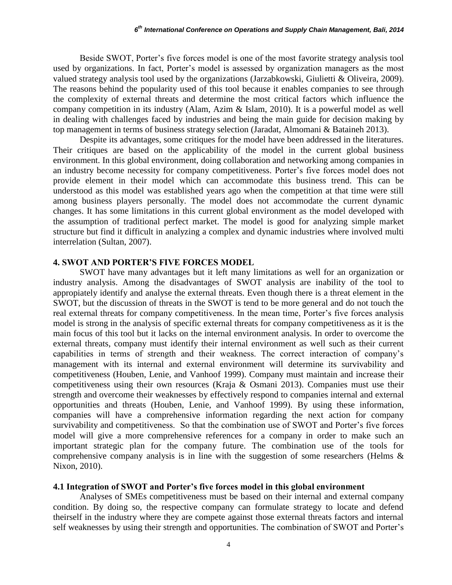Beside SWOT, Porter's five forces model is one of the most favorite strategy analysis tool used by organizations. In fact, Porter's model is assessed by organization managers as the most valued strategy analysis tool used by the organizations (Jarzabkowski, Giulietti & Oliveira, 2009). The reasons behind the popularity used of this tool because it enables companies to see through the complexity of external threats and determine the most critical factors which influence the company competition in its industry (Alam, Azim & Islam, 2010). It is a powerful model as well in dealing with challenges faced by industries and being the main guide for decision making by top management in terms of business strategy selection (Jaradat, Almomani & Bataineh 2013).

Despite its advantages, some critiques for the model have been addressed in the literatures. Their critiques are based on the applicability of the model in the current global business environment. In this global environment, doing collaboration and networking among companies in an industry become necessity for company competitiveness. Porter's five forces model does not provide element in their model which can accommodate this business trend. This can be understood as this model was established years ago when the competition at that time were still among business players personally. The model does not accommodate the current dynamic changes. It has some limitations in this current global environment as the model developed with the assumption of traditional perfect market. The model is good for analyzing simple market structure but find it difficult in analyzing a complex and dynamic industries where involved multi interrelation (Sultan, 2007).

#### **4. SWOT AND PORTER'S FIVE FORCES MODEL**

SWOT have many advantages but it left many limitations as well for an organization or industry analysis. Among the disadvantages of SWOT analysis are inability of the tool to appropiately identify and analyse the external threats. Even though there is a threat element in the SWOT, but the discussion of threats in the SWOT is tend to be more general and do not touch the real external threats for company competitiveness. In the mean time, Porter's five forces analysis model is strong in the analysis of specific external threats for company competitiveness as it is the main focus of this tool but it lacks on the internal environment analysis. In order to overcome the external threats, company must identify their internal environment as well such as their current capabilities in terms of strength and their weakness. The correct interaction of company's management with its internal and external environment will determine its survivability and competitiveness (Houben, Lenie, and Vanhoof 1999). Company must maintain and increase their competitiveness using their own resources (Kraja & Osmani 2013). Companies must use their strength and overcome their weaknesses by effectively respond to companies internal and external opportunities and threats (Houben, Lenie, and Vanhoof 1999). By using these information, companies will have a comprehensive information regarding the next action for company survivability and competitiveness. So that the combination use of SWOT and Porter's five forces model will give a more comprehensive references for a company in order to make such an important strategic plan for the company future. The combination use of the tools for comprehensive company analysis is in line with the suggestion of some researchers (Helms & Nixon, 2010).

#### **4.1 Integration of SWOT and Porter's five forces model in this global environment**

Analyses of SMEs competitiveness must be based on their internal and external company condition. By doing so, the respective company can formulate strategy to locate and defend theirself in the industry where they are compete against those external threats factors and internal self weaknesses by using their strength and opportunities. The combination of SWOT and Porter's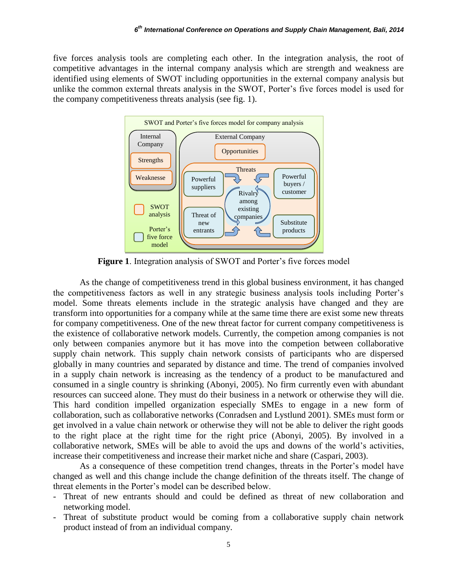five forces analysis tools are completing each other. In the integration analysis, the root of competitive advantages in the internal company analysis which are strength and weakness are identified using elements of SWOT including opportunities in the external company analysis but unlike the common external threats analysis in the SWOT, Porter's five forces model is used for the company competitiveness threats analysis (see fig. 1).



**Figure 1**. Integration analysis of SWOT and Porter's five forces model

As the change of competitiveness trend in this global business environment, it has changed the competitiveness factors as well in any strategic business analysis tools including Porter's model. Some threats elements include in the strategic analysis have changed and they are transform into opportunities for a company while at the same time there are exist some new threats for company competitiveness. One of the new threat factor for current company competitiveness is the existence of collaborative network models. Currently, the competion among companies is not only between companies anymore but it has move into the competion between collaborative supply chain network. This supply chain network consists of participants who are dispersed globally in many countries and separated by distance and time. The trend of companies involved in a supply chain network is increasing as the tendency of a product to be manufactured and consumed in a single country is shrinking (Abonyi, 2005). No firm currently even with abundant resources can succeed alone. They must do their business in a network or otherwise they will die. This hard condition impelled organization especially SMEs to engage in a new form of collaboration, such as collaborative networks (Conradsen and Lystlund 2001). SMEs must form or get involved in a value chain network or otherwise they will not be able to deliver the right goods to the right place at the right time for the right price (Abonyi, 2005). By involved in a collaborative network, SMEs will be able to avoid the ups and downs of the world's activities, increase their competitiveness and increase their market niche and share (Caspari, 2003).

As a consequence of these competition trend changes, threats in the Porter's model have changed as well and this change include the change definition of the threats itself. The change of threat elements in the Porter's model can be described below.

- Threat of new entrants should and could be defined as threat of new collaboration and networking model.
- Threat of substitute product would be coming from a collaborative supply chain network product instead of from an individual company.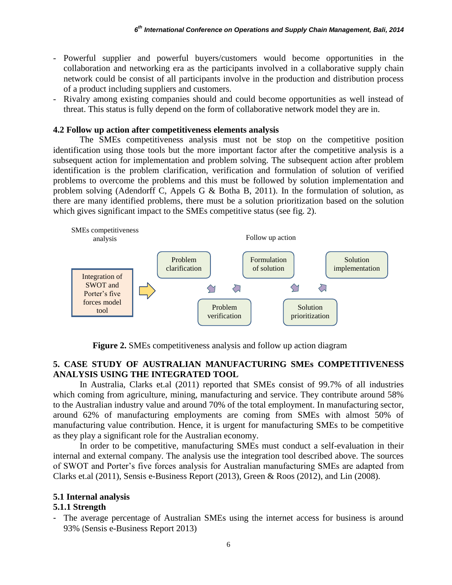- Powerful supplier and powerful buyers/customers would become opportunities in the collaboration and networking era as the participants involved in a collaborative supply chain network could be consist of all participants involve in the production and distribution process of a product including suppliers and customers.
- Rivalry among existing companies should and could become opportunities as well instead of threat. This status is fully depend on the form of collaborative network model they are in.

### **4.2 Follow up action after competitiveness elements analysis**

The SMEs competitiveness analysis must not be stop on the competitive position identification using those tools but the more important factor after the competitive analysis is a subsequent action for implementation and problem solving. The subsequent action after problem identification is the problem clarification, verification and formulation of solution of verified problems to overcome the problems and this must be followed by solution implementation and problem solving (Adendorff C, Appels G & Botha B, 2011). In the formulation of solution, as there are many identified problems, there must be a solution prioritization based on the solution which gives significant impact to the SMEs competitive status (see fig. 2).



**Figure 2.** SMEs competitiveness analysis and follow up action diagram

### **5. CASE STUDY OF AUSTRALIAN MANUFACTURING SMEs COMPETITIVENESS ANALYSIS USING THE INTEGRATED TOOL**

In Australia, Clarks et.al (2011) reported that SMEs consist of 99.7% of all industries which coming from agriculture, mining, manufacturing and service. They contribute around 58% to the Australian industry value and around 70% of the total employment. In manufacturing sector, around 62% of manufacturing employments are coming from SMEs with almost 50% of manufacturing value contribution. Hence, it is urgent for manufacturing SMEs to be competitive as they play a significant role for the Australian economy.

In order to be competitive, manufacturing SMEs must conduct a self-evaluation in their internal and external company. The analysis use the integration tool described above. The sources of SWOT and Porter's five forces analysis for Australian manufacturing SMEs are adapted from Clarks et.al (2011), Sensis e-Business Report (2013), Green & Roos (2012), and Lin (2008).

# **5.1 Internal analysis**

# **5.1.1 Strength**

- The average percentage of Australian SMEs using the internet access for business is around 93% (Sensis e-Business Report 2013)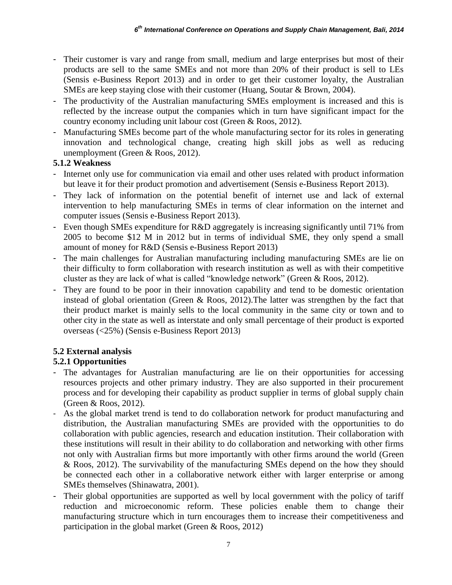- Their customer is vary and range from small, medium and large enterprises but most of their products are sell to the same SMEs and not more than 20% of their product is sell to LEs (Sensis e-Business Report 2013) and in order to get their customer loyalty, the Australian SMEs are keep staying close with their customer (Huang, Soutar & Brown, 2004).
- The productivity of the Australian manufacturing SMEs employment is increased and this is reflected by the increase output the companies which in turn have significant impact for the country economy including unit labour cost (Green & Roos, 2012).
- Manufacturing SMEs become part of the whole manufacturing sector for its roles in generating innovation and technological change, creating high skill jobs as well as reducing unemployment (Green & Roos, 2012).

## **5.1.2 Weakness**

- Internet only use for communication via email and other uses related with product information but leave it for their product promotion and advertisement (Sensis e-Business Report 2013).
- They lack of information on the potential benefit of internet use and lack of external intervention to help manufacturing SMEs in terms of clear information on the internet and computer issues (Sensis e-Business Report 2013).
- Even though SMEs expenditure for R&D aggregately is increasing significantly until 71% from 2005 to become \$12 M in 2012 but in terms of individual SME, they only spend a small amount of money for R&D (Sensis e-Business Report 2013)
- The main challenges for Australian manufacturing including manufacturing SMEs are lie on their difficulty to form collaboration with research institution as well as with their competitive cluster as they are lack of what is called "knowledge network" (Green & Roos, 2012).
- They are found to be poor in their innovation capability and tend to be domestic orientation instead of global orientation (Green & Roos, 2012).The latter was strengthen by the fact that their product market is mainly sells to the local community in the same city or town and to other city in the state as well as interstate and only small percentage of their product is exported overseas (<25%) (Sensis e-Business Report 2013)

# **5.2 External analysis**

# **5.2.1 Opportunities**

- The advantages for Australian manufacturing are lie on their opportunities for accessing resources projects and other primary industry. They are also supported in their procurement process and for developing their capability as product supplier in terms of global supply chain (Green & Roos, 2012).
- As the global market trend is tend to do collaboration network for product manufacturing and distribution, the Australian manufacturing SMEs are provided with the opportunities to do collaboration with public agencies, research and education institution. Their collaboration with these institutions will result in their ability to do collaboration and networking with other firms not only with Australian firms but more importantly with other firms around the world (Green & Roos, 2012). The survivability of the manufacturing SMEs depend on the how they should be connected each other in a collaborative network either with larger enterprise or among SMEs themselves (Shinawatra, 2001).
- Their global opportunities are supported as well by local government with the policy of tariff reduction and microeconomic reform. These policies enable them to change their manufacturing structure which in turn encourages them to increase their competitiveness and participation in the global market (Green & Roos, 2012)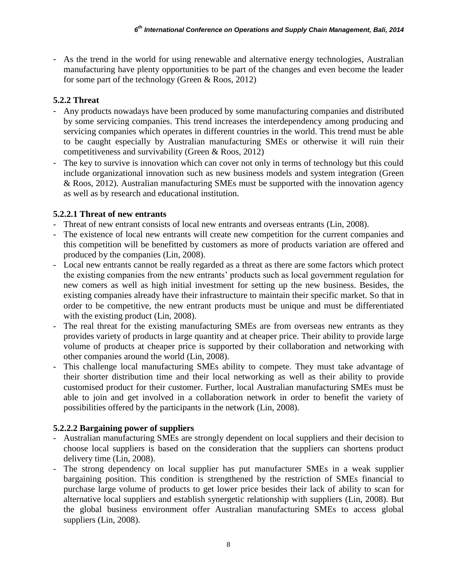- As the trend in the world for using renewable and alternative energy technologies, Australian manufacturing have plenty opportunities to be part of the changes and even become the leader for some part of the technology (Green & Roos, 2012)

# **5.2.2 Threat**

- Any products nowadays have been produced by some manufacturing companies and distributed by some servicing companies. This trend increases the interdependency among producing and servicing companies which operates in different countries in the world. This trend must be able to be caught especially by Australian manufacturing SMEs or otherwise it will ruin their competitiveness and survivability (Green & Roos, 2012)
- The key to survive is innovation which can cover not only in terms of technology but this could include organizational innovation such as new business models and system integration (Green & Roos, 2012). Australian manufacturing SMEs must be supported with the innovation agency as well as by research and educational institution.

# **5.2.2.1 Threat of new entrants**

- Threat of new entrant consists of local new entrants and overseas entrants (Lin, 2008).
- The existence of local new entrants will create new competition for the current companies and this competition will be benefitted by customers as more of products variation are offered and produced by the companies (Lin, 2008).
- Local new entrants cannot be really regarded as a threat as there are some factors which protect the existing companies from the new entrants' products such as local government regulation for new comers as well as high initial investment for setting up the new business. Besides, the existing companies already have their infrastructure to maintain their specific market. So that in order to be competitive, the new entrant products must be unique and must be differentiated with the existing product (Lin, 2008).
- The real threat for the existing manufacturing SMEs are from overseas new entrants as they provides variety of products in large quantity and at cheaper price. Their ability to provide large volume of products at cheaper price is supported by their collaboration and networking with other companies around the world (Lin, 2008).
- This challenge local manufacturing SMEs ability to compete. They must take advantage of their shorter distribution time and their local networking as well as their ability to provide customised product for their customer. Further, local Australian manufacturing SMEs must be able to join and get involved in a collaboration network in order to benefit the variety of possibilities offered by the participants in the network (Lin, 2008).

# **5.2.2.2 Bargaining power of suppliers**

- Australian manufacturing SMEs are strongly dependent on local suppliers and their decision to choose local suppliers is based on the consideration that the suppliers can shortens product delivery time (Lin, 2008).
- The strong dependency on local supplier has put manufacturer SMEs in a weak supplier bargaining position. This condition is strengthened by the restriction of SMEs financial to purchase large volume of products to get lower price besides their lack of ability to scan for alternative local suppliers and establish synergetic relationship with suppliers (Lin, 2008). But the global business environment offer Australian manufacturing SMEs to access global suppliers (Lin, 2008).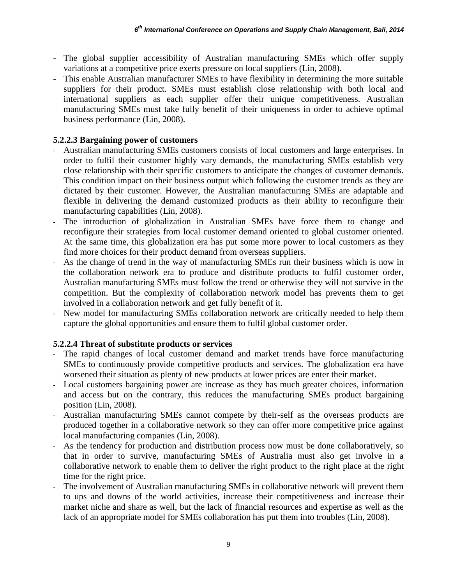- The global supplier accessibility of Australian manufacturing SMEs which offer supply variations at a competitive price exerts pressure on local suppliers (Lin, 2008).
- This enable Australian manufacturer SMEs to have flexibility in determining the more suitable suppliers for their product. SMEs must establish close relationship with both local and international suppliers as each supplier offer their unique competitiveness. Australian manufacturing SMEs must take fully benefit of their uniqueness in order to achieve optimal business performance (Lin, 2008).

### **5.2.2.3 Bargaining power of customers**

- Australian manufacturing SMEs customers consists of local customers and large enterprises. In order to fulfil their customer highly vary demands, the manufacturing SMEs establish very close relationship with their specific customers to anticipate the changes of customer demands. This condition impact on their business output which following the customer trends as they are dictated by their customer. However, the Australian manufacturing SMEs are adaptable and flexible in delivering the demand customized products as their ability to reconfigure their manufacturing capabilities (Lin, 2008).
- The introduction of globalization in Australian SMEs have force them to change and reconfigure their strategies from local customer demand oriented to global customer oriented. At the same time, this globalization era has put some more power to local customers as they find more choices for their product demand from overseas suppliers.
- As the change of trend in the way of manufacturing SMEs run their business which is now in the collaboration network era to produce and distribute products to fulfil customer order, Australian manufacturing SMEs must follow the trend or otherwise they will not survive in the competition. But the complexity of collaboration network model has prevents them to get involved in a collaboration network and get fully benefit of it.
- New model for manufacturing SMEs collaboration network are critically needed to help them capture the global opportunities and ensure them to fulfil global customer order.

## **5.2.2.4 Threat of substitute products or services**

- The rapid changes of local customer demand and market trends have force manufacturing SMEs to continuously provide competitive products and services. The globalization era have worsened their situation as plenty of new products at lower prices are enter their market.
- Local customers bargaining power are increase as they has much greater choices, information and access but on the contrary, this reduces the manufacturing SMEs product bargaining position (Lin, 2008).
- Australian manufacturing SMEs cannot compete by their-self as the overseas products are produced together in a collaborative network so they can offer more competitive price against local manufacturing companies (Lin, 2008).
- As the tendency for production and distribution process now must be done collaboratively, so that in order to survive, manufacturing SMEs of Australia must also get involve in a collaborative network to enable them to deliver the right product to the right place at the right time for the right price.
- The involvement of Australian manufacturing SMEs in collaborative network will prevent them to ups and downs of the world activities, increase their competitiveness and increase their market niche and share as well, but the lack of financial resources and expertise as well as the lack of an appropriate model for SMEs collaboration has put them into troubles (Lin, 2008).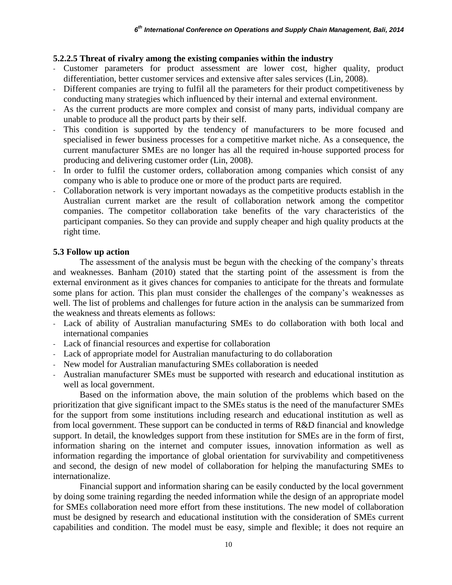### **5.2.2.5 Threat of rivalry among the existing companies within the industry**

- Customer parameters for product assessment are lower cost, higher quality, product differentiation, better customer services and extensive after sales services (Lin, 2008).
- Different companies are trying to fulfil all the parameters for their product competitiveness by conducting many strategies which influenced by their internal and external environment.
- As the current products are more complex and consist of many parts, individual company are unable to produce all the product parts by their self.
- This condition is supported by the tendency of manufacturers to be more focused and specialised in fewer business processes for a competitive market niche. As a consequence, the current manufacturer SMEs are no longer has all the required in-house supported process for producing and delivering customer order (Lin, 2008).
- In order to fulfil the customer orders, collaboration among companies which consist of any company who is able to produce one or more of the product parts are required.
- Collaboration network is very important nowadays as the competitive products establish in the Australian current market are the result of collaboration network among the competitor companies. The competitor collaboration take benefits of the vary characteristics of the participant companies. So they can provide and supply cheaper and high quality products at the right time.

### **5.3 Follow up action**

The assessment of the analysis must be begun with the checking of the company's threats and weaknesses. Banham (2010) stated that the starting point of the assessment is from the external environment as it gives chances for companies to anticipate for the threats and formulate some plans for action. This plan must consider the challenges of the company's weaknesses as well. The list of problems and challenges for future action in the analysis can be summarized from the weakness and threats elements as follows:

- Lack of ability of Australian manufacturing SMEs to do collaboration with both local and international companies
- Lack of financial resources and expertise for collaboration
- Lack of appropriate model for Australian manufacturing to do collaboration
- New model for Australian manufacturing SMEs collaboration is needed
- Australian manufacturer SMEs must be supported with research and educational institution as well as local government.

Based on the information above, the main solution of the problems which based on the prioritization that give significant impact to the SMEs status is the need of the manufacturer SMEs for the support from some institutions including research and educational institution as well as from local government. These support can be conducted in terms of R&D financial and knowledge support. In detail, the knowledges support from these institution for SMEs are in the form of first, information sharing on the internet and computer issues, innovation information as well as information regarding the importance of global orientation for survivability and competitiveness and second, the design of new model of collaboration for helping the manufacturing SMEs to internationalize.

Financial support and information sharing can be easily conducted by the local government by doing some training regarding the needed information while the design of an appropriate model for SMEs collaboration need more effort from these institutions. The new model of collaboration must be designed by research and educational institution with the consideration of SMEs current capabilities and condition. The model must be easy, simple and flexible; it does not require an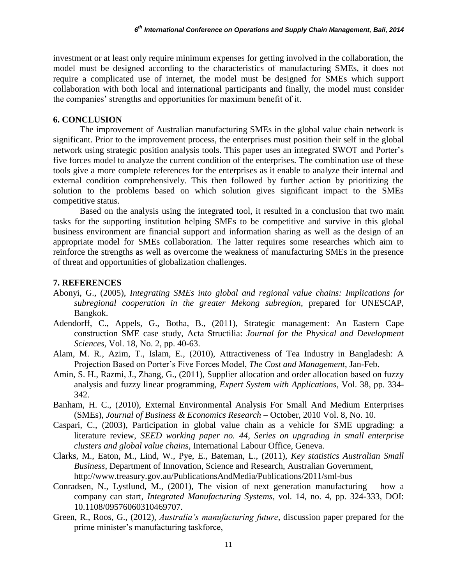investment or at least only require minimum expenses for getting involved in the collaboration, the model must be designed according to the characteristics of manufacturing SMEs, it does not require a complicated use of internet, the model must be designed for SMEs which support collaboration with both local and international participants and finally, the model must consider the companies' strengths and opportunities for maximum benefit of it.

### **6. CONCLUSION**

The improvement of Australian manufacturing SMEs in the global value chain network is significant. Prior to the improvement process, the enterprises must position their self in the global network using strategic position analysis tools. This paper uses an integrated SWOT and Porter's five forces model to analyze the current condition of the enterprises. The combination use of these tools give a more complete references for the enterprises as it enable to analyze their internal and external condition comprehensively. This then followed by further action by prioritizing the solution to the problems based on which solution gives significant impact to the SMEs competitive status.

Based on the analysis using the integrated tool, it resulted in a conclusion that two main tasks for the supporting institution helping SMEs to be competitive and survive in this global business environment are financial support and information sharing as well as the design of an appropriate model for SMEs collaboration. The latter requires some researches which aim to reinforce the strengths as well as overcome the weakness of manufacturing SMEs in the presence of threat and opportunities of globalization challenges.

### **7. REFERENCES**

- Abonyi, G., (2005), *Integrating SMEs into global and regional value chains: Implications for subregional cooperation in the greater Mekong subregion*, prepared for UNESCAP, Bangkok.
- Adendorff, C., Appels, G., Botha, B., (2011), Strategic management: An Eastern Cape construction SME case study, Acta Structilia: *Journal for the Physical and Development Sciences,* Vol. 18, No. 2, pp. 40-63.
- Alam, M. R., Azim, T., Islam, E., (2010), Attractiveness of Tea Industry in Bangladesh: A Projection Based on Porter's Five Forces Model, *The Cost and Management*, Jan-Feb.
- Amin, S. H., Razmi, J., Zhang, G., (2011), Supplier allocation and order allocation based on fuzzy analysis and fuzzy linear programming, *Expert System with Applications*, Vol. 38, pp. 334- 342.
- Banham, H. C., (2010), External Environmental Analysis For Small And Medium Enterprises (SMEs), *Journal of Business & Economics Research* – October, 2010 Vol. 8, No. 10.
- Caspari, C., (2003), Participation in global value chain as a vehicle for SME upgrading: a literature review, *SEED working paper no. 44, Series on upgrading in small enterprise clusters and global value chains*, International Labour Office, Geneva.
- Clarks, M., Eaton, M., Lind, W., Pye, E., Bateman, L., (2011), *Key statistics Australian Small Business*, Department of Innovation, Science and Research, Australian Government, http://www.treasury.gov.au/PublicationsAndMedia/Publications/2011/sml-bus
- Conradsen, N., Lystlund, M., (2001), The vision of next generation manufacturing how a company can start, *Integrated Manufacturing Systems*, vol. 14, no. 4, pp. 324-333, DOI: 10.1108/09576060310469707.
- Green, R., Roos, G., (2012), *Australia's manufacturing future*, discussion paper prepared for the prime minister's manufacturing taskforce,